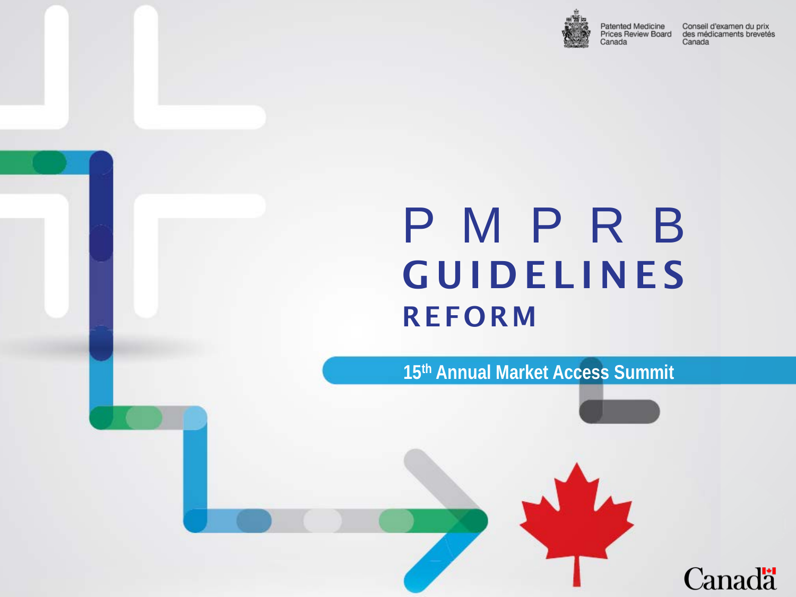

Patented Medicine Prices Review Board Canada

Conseil d'examen du prix des médicaments brevetés Canada

**Canadä** 

### P M P R B **GUIDELINES** REFORM

**15th Annual Market Access Summit**

**Douglas Clark**

**Executive Director**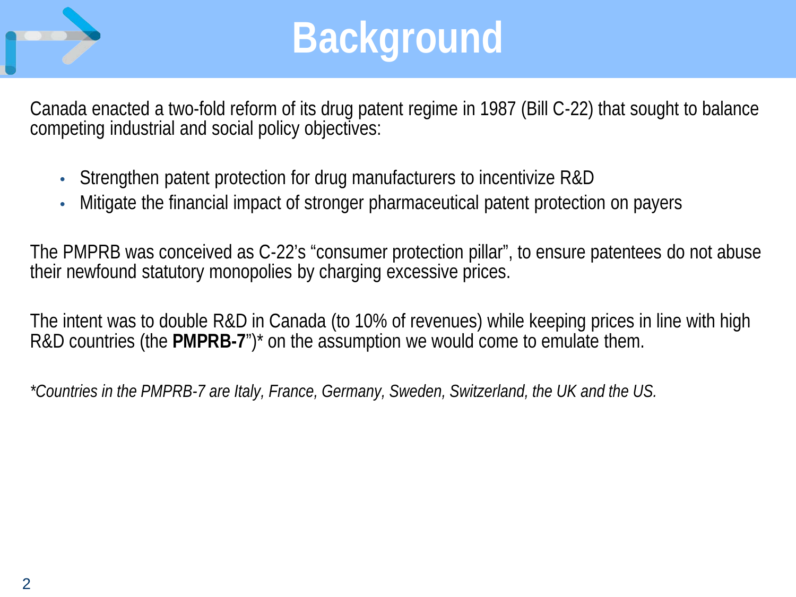

## **Background**

Canada enacted a two-fold reform of its drug patent regime in 1987 (Bill C-22) that sought to balance competing industrial and social policy objectives:

- Strengthen patent protection for drug manufacturers to incentivize R&D
- Mitigate the financial impact of stronger pharmaceutical patent protection on payers

The PMPRB was conceived as C-22's "consumer protection pillar", to ensure patentees do not abuse their newfound statutory monopolies by charging excessive prices.

The intent was to double R&D in Canada (to 10% of revenues) while keeping prices in line with high R&D countries (the **PMPRB-7**")\* on the assumption we would come to emulate them.

*\*Countries in the PMPRB-7 are Italy, France, Germany, Sweden, Switzerland, the UK and the US.*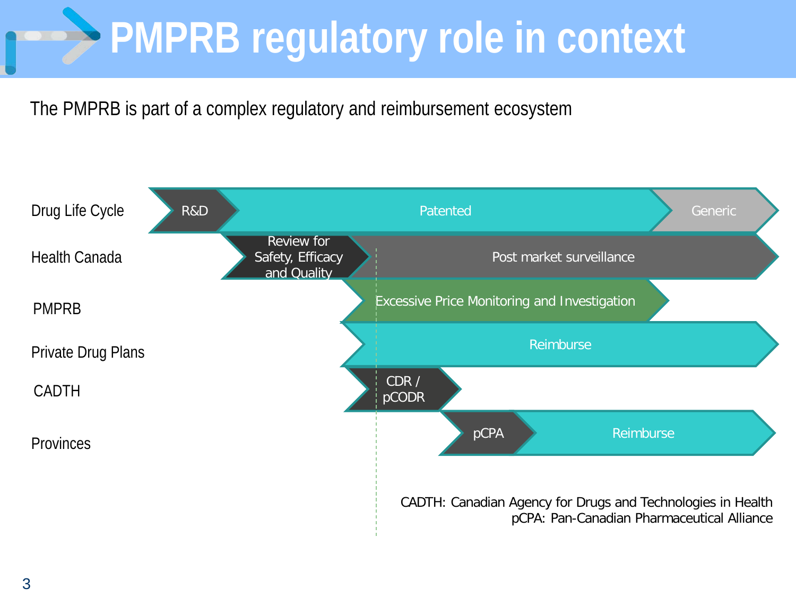# **PMPRB regulatory role in context**

The PMPRB is part of a complex regulatory and reimbursement ecosystem

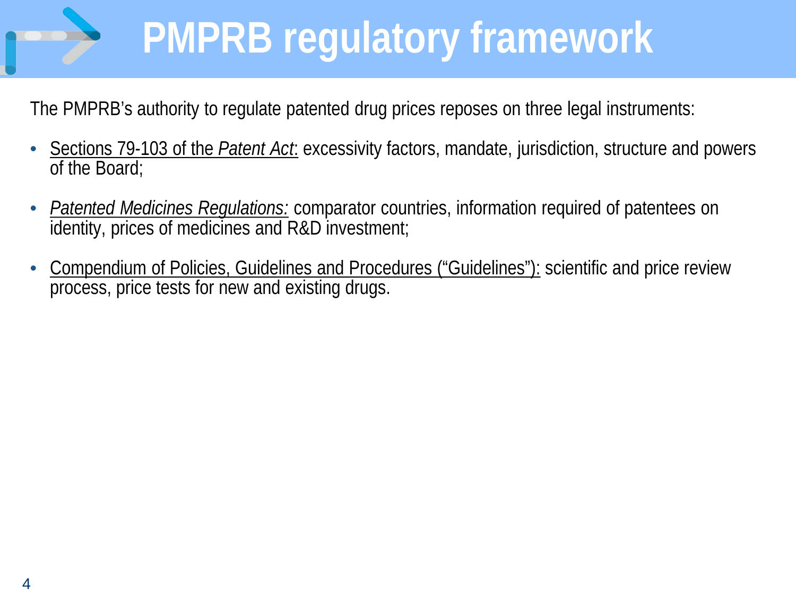# **PMPRB regulatory framework**

The PMPRB's authority to regulate patented drug prices reposes on three legal instruments:

- Sections 79-103 of the *Patent Act*: excessivity factors, mandate, jurisdiction, structure and powers of the Board;
- *Patented Medicines Regulations:* comparator countries, information required of patentees on identity, prices of medicines and R&D investment;
- Compendium of Policies, Guidelines and Procedures ("Guidelines"): scientific and price review process, price tests for new and existing drugs.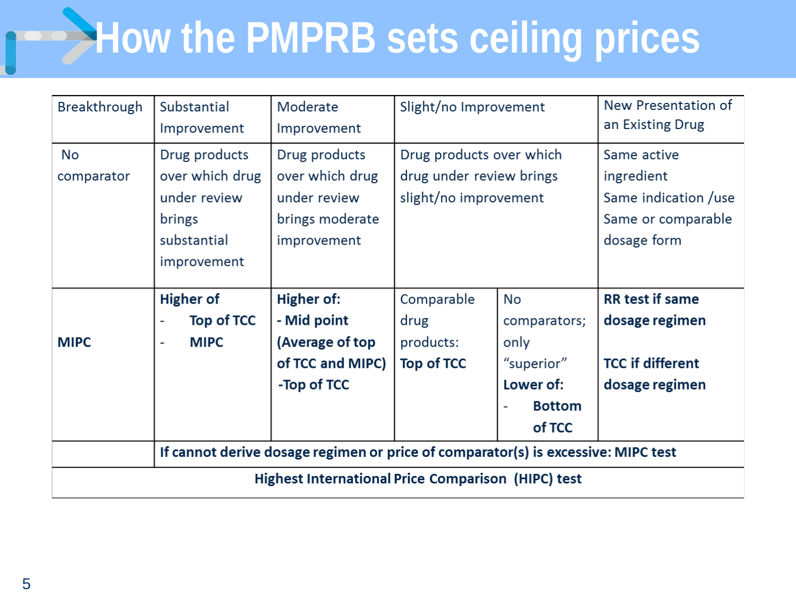## **How the PMPRB sets ceiling prices**

| <b>Breakthrough</b>                                       | Substantial<br>Improvement                                                               | Moderate<br>Improvement                                                                | Slight/no Improvement                                                         |                                                                                  | New Presentation of<br>an Existing Drug                                                |  |
|-----------------------------------------------------------|------------------------------------------------------------------------------------------|----------------------------------------------------------------------------------------|-------------------------------------------------------------------------------|----------------------------------------------------------------------------------|----------------------------------------------------------------------------------------|--|
| No<br>comparator                                          | Drug products<br>over which drug<br>under review<br>brings<br>substantial<br>improvement | Drug products<br>over which drug<br>under review<br>brings moderate<br>improvement     | Drug products over which<br>drug under review brings<br>slight/no improvement |                                                                                  | Same active<br>ingredient<br>Same indication /use<br>Same or comparable<br>dosage form |  |
| <b>MIPC</b>                                               | <b>Higher of</b><br>Top of TCC<br><b>MIPC</b><br>$\overline{\phantom{a}}$                | <b>Higher of:</b><br>- Mid point<br>(Average of top<br>of TCC and MIPC)<br>-Top of TCC | Comparable<br>drug<br>products:<br>Top of TCC                                 | No<br>comparators;<br>only<br>"superior"<br>Lower of:<br><b>Bottom</b><br>of TCC | <b>RR</b> test if same<br>dosage regimen<br><b>TCC if different</b><br>dosage regimen  |  |
|                                                           | If cannot derive dosage regimen or price of comparator(s) is excessive: MIPC test        |                                                                                        |                                                                               |                                                                                  |                                                                                        |  |
| <b>Highest International Price Comparison (HIPC) test</b> |                                                                                          |                                                                                        |                                                                               |                                                                                  |                                                                                        |  |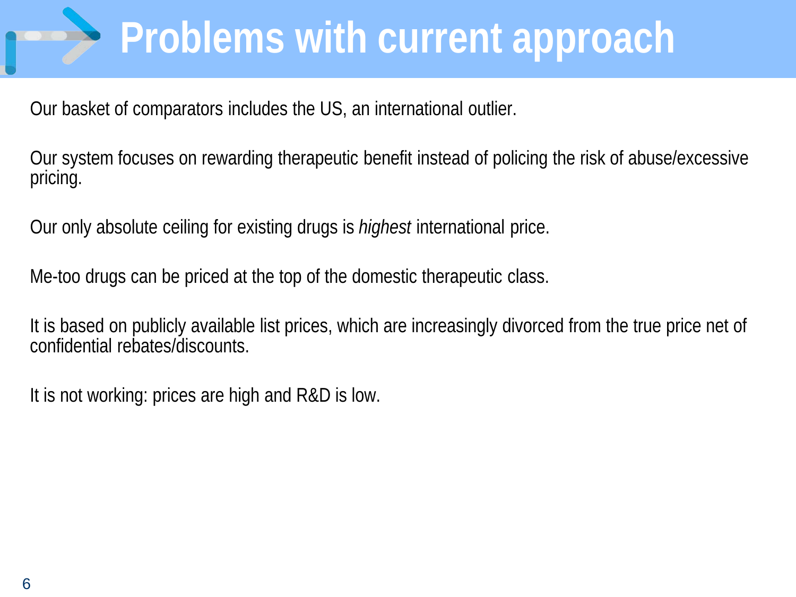## **Problems with current approach**

Our basket of comparators includes the US, an international outlier.

Our system focuses on rewarding therapeutic benefit instead of policing the risk of abuse/excessive pricing.

Our only absolute ceiling for existing drugs is *highest* international price.

Me-too drugs can be priced at the top of the domestic therapeutic class.

It is based on publicly available list prices, which are increasingly divorced from the true price net of confidential rebates/discounts.

It is not working: prices are high and R&D is low.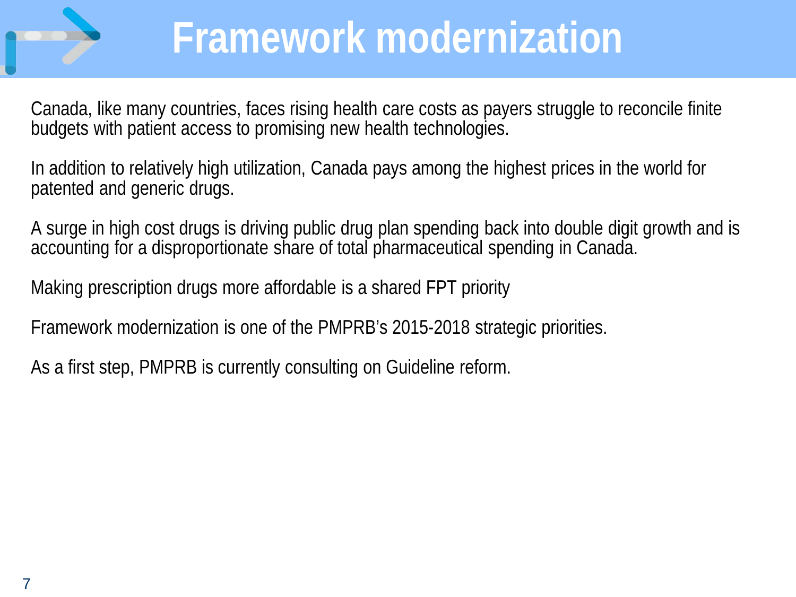

### **Framework modernization**

Canada, like many countries, faces rising health care costs as payers struggle to reconcile finite budgets with patient access to promising new health technologies.

In addition to relatively high utilization, Canada pays among the highest prices in the world for patented and generic drugs.

A surge in high cost drugs is driving public drug plan spending back into double digit growth and is accounting for a disproportionate share of total pharmaceutical spending in Canada.

Making prescription drugs more affordable is a shared FPT priority

Framework modernization is one of the PMPRB's 2015-2018 strategic priorities.

As a first step, PMPRB is currently consulting on Guideline reform.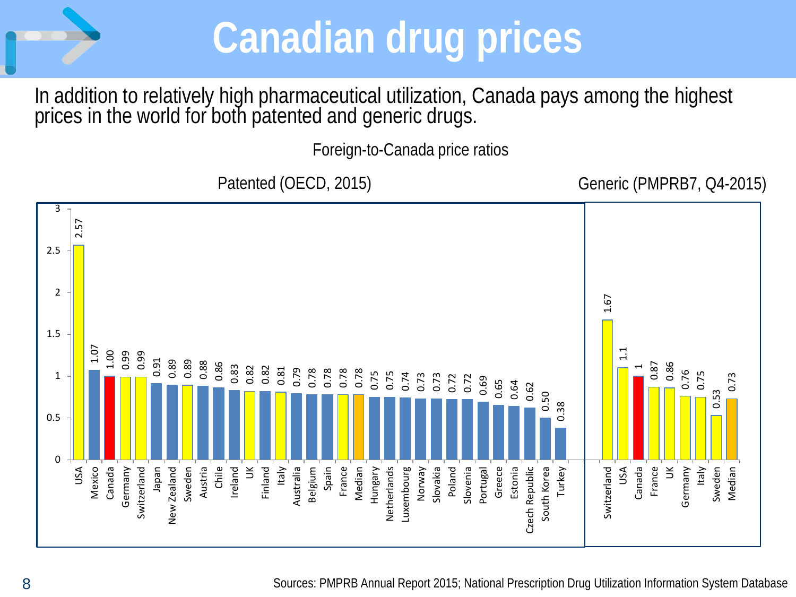

### **Canadian drug prices**

In addition to relatively high pharmaceutical utilization, Canada pays among the highest prices in the world for both patented and generic drugs.

Foreign-to-Canada price ratios

Patented (OECD, 2015) Generic (PMPRB7, Q4-2015)

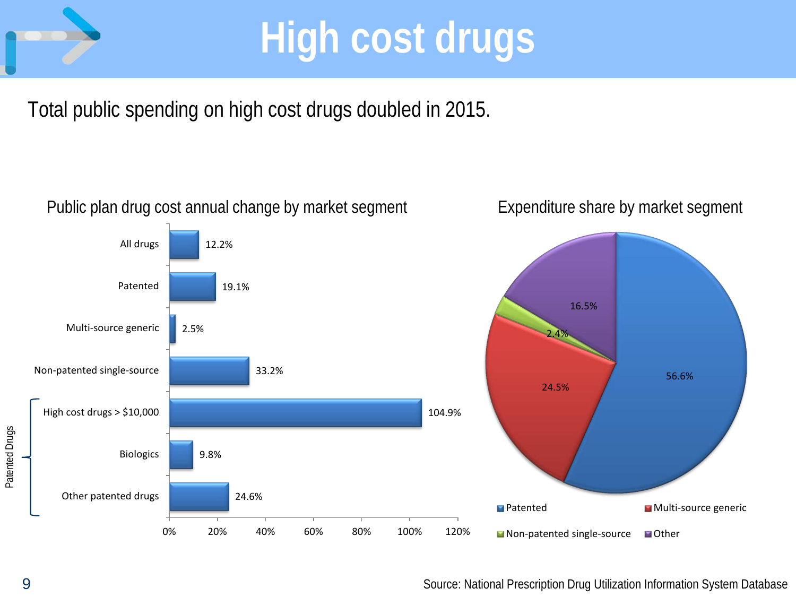

### **High cost drugs**

Total public spending on high cost drugs doubled in 2015.



Source: National Prescription Drug Utilization Information System Database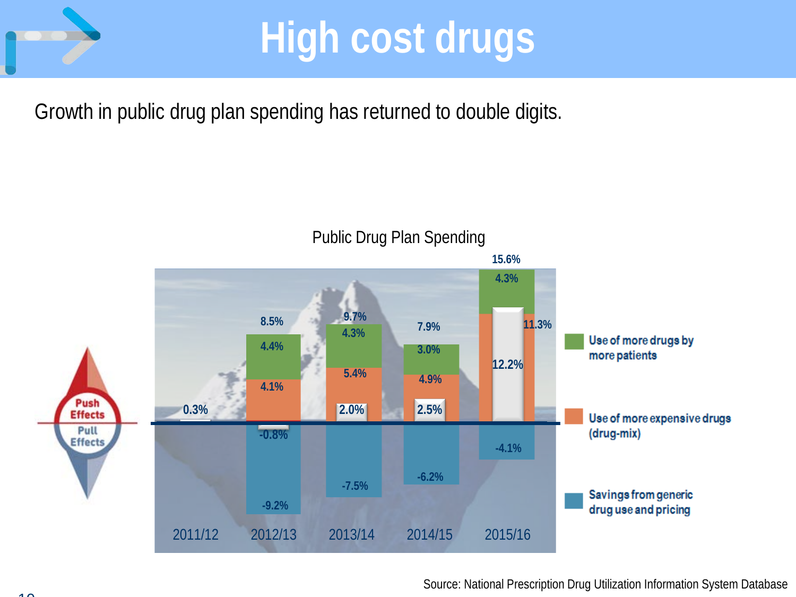

### **High cost drugs**

Growth in public drug plan spending has returned to double digits.

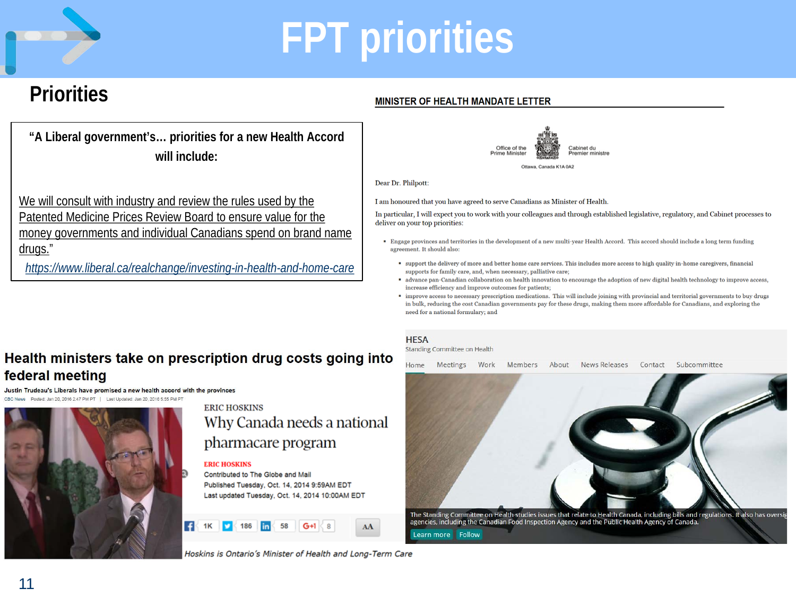

### **FPT priorities**

### **Priorities**

**"A Liberal government's… priorities for a new Health Accord will include:**

We will consult with industry and review the rules used by the Patented Medicine Prices Review Board to ensure value for the money governments and individual Canadians spend on brand name drugs."

*<https://www.liberal.ca/realchange/investing-in-health-and-home-care>*

#### Health ministers take on prescription drug costs going into federal meeting

Justin Trudeau's Liberals have promised a new health accord with the provinces



#### **ERIC HOSKINS** Why Canada needs a national pharmacare program

#### **ERIC HOSKINS**

Contributed to The Globe and Mail Published Tuesday, Oct. 14, 2014 9:59AM EDT Last updated Tuesday, Oct. 14, 2014 10:00AM EDT

AA

Hoskins is Ontario's Minister of Health and Long-Term Care

### Cabinet du Office of the

Dear Dr. Philpott:

I am honoured that you have agreed to serve Canadians as Minister of Health.

MINISTER OF HEALTH MANDATE LETTER

In particular, I will expect you to work with your colleagues and through established legislative, regulatory, and Cabinet processes to deliver on your top priorities:

- " Engage provinces and territories in the development of a new multi-year Health Accord. This accord should include a long term funding agreement. It should also:
	- support the delivery of more and better home care services. This includes more access to high quality in-home caregivers, financial supports for family care, and, when necessary, palliative care;
	- " advance pan-Canadian collaboration on health innovation to encourage the adoption of new digital health technology to improve access, increase efficiency and improve outcomes for patients;
	- " improve access to necessary prescription medications. This will include joining with provincial and territorial governments to buy drugs in bulk, reducing the cost Canadian governments pay for these drugs, making them more affordable for Canadians, and exploring the need for a national formulary; and

#### **HESA**

Standing Committee on Health

News Releases Subcommittee Home Meetings Work Members About Contact

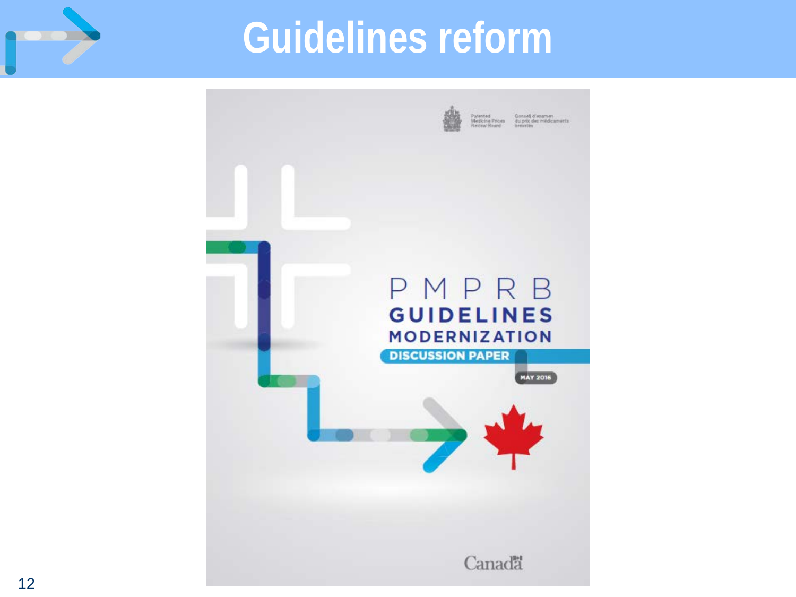

### **Guidelines reform**

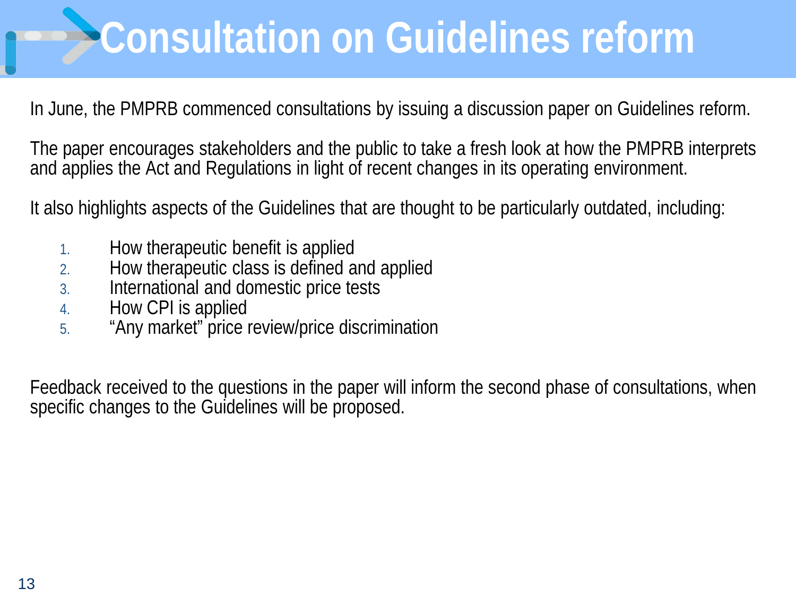## **Consultation on Guidelines reform**

In June, the PMPRB commenced consultations by issuing a discussion paper on Guidelines reform.

The paper encourages stakeholders and the public to take a fresh look at how the PMPRB interprets and applies the Act and Regulations in light of recent changes in its operating environment.

It also highlights aspects of the Guidelines that are thought to be particularly outdated, including:

- 1. How therapeutic benefit is applied
- 2. How therapeutic class is defined and applied
- 3. International and domestic price tests
- 4. How CPI is applied
- 5. "Any market" price review/price discrimination

Feedback received to the questions in the paper will inform the second phase of consultations, when specific changes to the Guidelines will be proposed.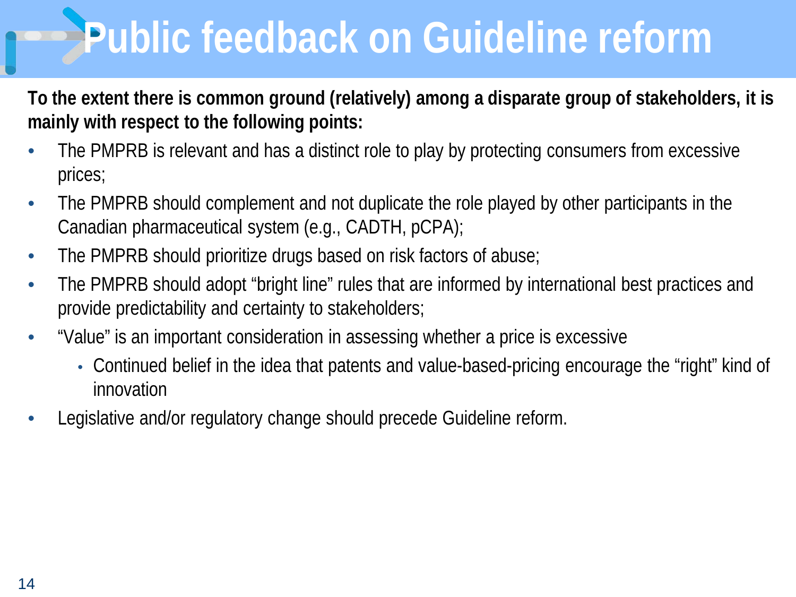## **Public feedback on Guideline reform**

**To the extent there is common ground (relatively) among a disparate group of stakeholders, it is mainly with respect to the following points:** 

- The PMPRB is relevant and has a distinct role to play by protecting consumers from excessive prices;
- The PMPRB should complement and not duplicate the role played by other participants in the Canadian pharmaceutical system (e.g., CADTH, pCPA);
- The PMPRB should prioritize drugs based on risk factors of abuse;
- The PMPRB should adopt "bright line" rules that are informed by international best practices and provide predictability and certainty to stakeholders;
- "Value" is an important consideration in assessing whether a price is excessive
	- Continued belief in the idea that patents and value-based-pricing encourage the "right" kind of innovation
- Legislative and/or regulatory change should precede Guideline reform.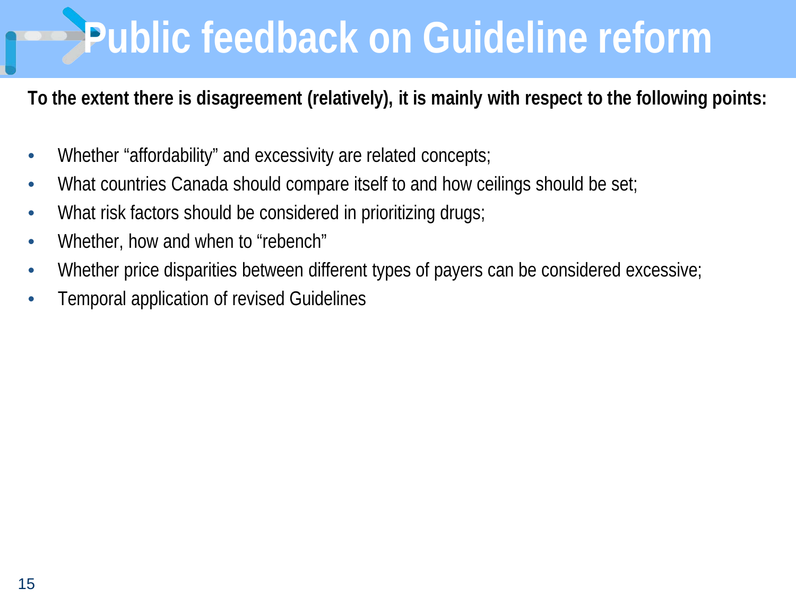### **Public feedback on Guideline reform**

**To the extent there is disagreement (relatively), it is mainly with respect to the following points:** 

- Whether "affordability" and excessivity are related concepts;
- What countries Canada should compare itself to and how ceilings should be set;
- What risk factors should be considered in prioritizing drugs;
- Whether, how and when to "rebench"
- Whether price disparities between different types of payers can be considered excessive;
- Temporal application of revised Guidelines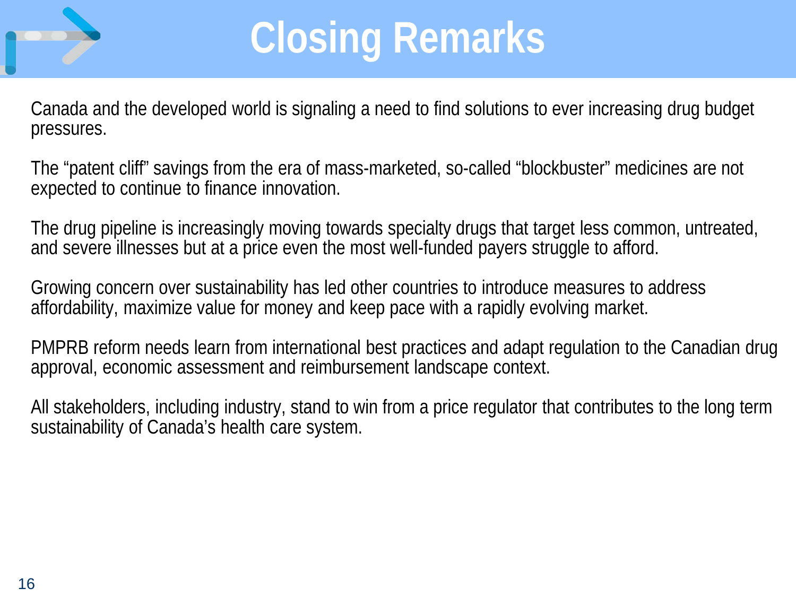

### **Closing Remarks**

Canada and the developed world is signaling a need to find solutions to ever increasing drug budget pressures.

The "patent cliff" savings from the era of mass-marketed, so-called "blockbuster" medicines are not expected to continue to finance innovation.

The drug pipeline is increasingly moving towards specialty drugs that target less common, untreated, and severe illnesses but at a price even the most well-funded payers struggle to afford.

Growing concern over sustainability has led other countries to introduce measures to address affordability, maximize value for money and keep pace with a rapidly evolving market.

PMPRB reform needs learn from international best practices and adapt regulation to the Canadian drug approval, economic assessment and reimbursement landscape context.

All stakeholders, including industry, stand to win from a price regulator that contributes to the long term sustainability of Canada's health care system.